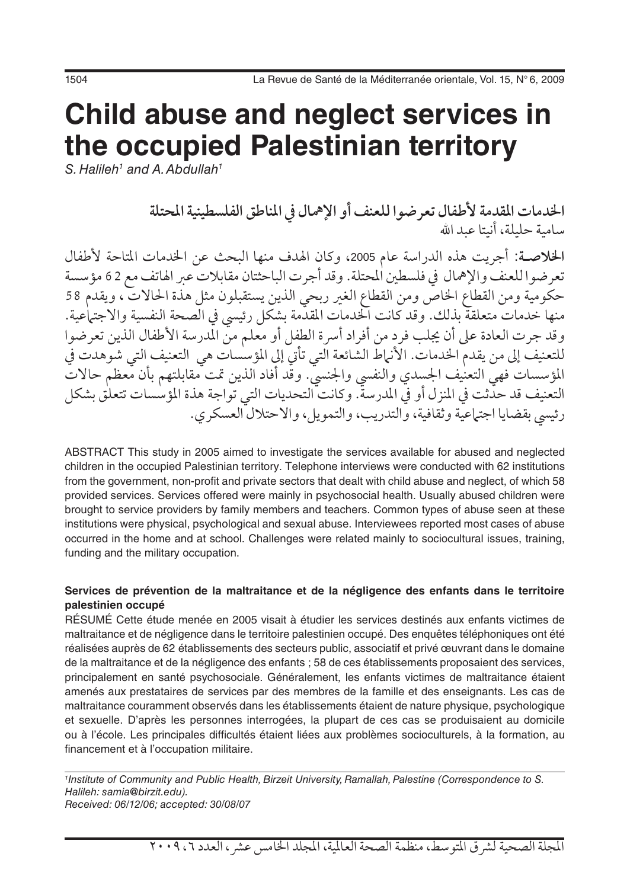# **Child abuse and neglect services in the occupied Palestinian territory**

*S. Halileh1 and A. Abdullah1*

**اخلدمات املقدمة ألطفال تعرضوا للعنف أو اإلمهال يف املناطق الفلسطينية املحتلة** سامية حليلة، أنيتا عبد الله

الخلاصـة: أجريت هذه الدراسة عام 2005، وكان الهدف منها البحث عن الخدمات المتاحة لأطفال تعرضوا للعنف والإهمال في فلسطين المحتلة. وقد أجرت الباحثتان مقابلات عبر الهاتف مع 62 مؤسسة حكومية ومن القطاع اخلاص ومن القطاع الغري ربحي الذين يستقبلون مثل هذة احلاالت ، ويقدم 58 منها خدمات متعلقة بذلك. وقد كانت اخلدمات املقدمة بشكل رئييس يف الصحة النفسية واالجتامعية. وقد جرت العادة على أن يجلب فرد من أفراد أسرة الطفل أو معلم من المدرسة الأطفال الذين تعرضوا للتعنيف إلى من يقدم الخدمات. الأنهاط الشائعة التي تأتي إلى المؤسسات هي التعنيف التي شوهدت في المؤسسات فهي التعنيف الجسدي والنفسي والجنسيّ. وقد أفاد الذين تمت مقابلتهم بأن معظم حالات التعنيف قد حدثت يف املنزل أو يف املدرسة. وكانت التحديات التي تواجة هذة املؤسسات تتعلق بشكل رئيسي بقضايا اجتماعية وثقافية، والتدريب، والتمويل، والاحتلال العسكري.

ABSTRACT This study in 2005 aimed to investigate the services available for abused and neglected children in the occupied Palestinian territory. Telephone interviews were conducted with 62 institutions from the government, non-profit and private sectors that dealt with child abuse and neglect, of which 58 provided services. Services offered were mainly in psychosocial health. Usually abused children were brought to service providers by family members and teachers. Common types of abuse seen at these institutions were physical, psychological and sexual abuse. Interviewees reported most cases of abuse occurred in the home and at school. Challenges were related mainly to sociocultural issues, training, funding and the military occupation.

#### **Services de prévention de la maltraitance et de la négligence des enfants dans le territoire palestinien occupé**

RÉSUMÉ Cette étude menée en 2005 visait à étudier les services destinés aux enfants victimes de maltraitance et de négligence dans le territoire palestinien occupé. Des enquêtes téléphoniques ont été réalisées auprès de 62 établissements des secteurs public, associatif et privé œuvrant dans le domaine de la maltraitance et de la négligence des enfants ; 58 de ces établissements proposaient des services, principalement en santé psychosociale. Généralement, les enfants victimes de maltraitance étaient amenés aux prestataires de services par des membres de la famille et des enseignants. Les cas de maltraitance couramment observés dans les établissements étaient de nature physique, psychologique et sexuelle. D'après les personnes interrogées, la plupart de ces cas se produisaient au domicile ou à l'école. Les principales difficultés étaient liées aux problèmes socioculturels, à la formation, au financement et à l'occupation militaire.

*1 Institute of Community and Public Health, Birzeit University, Ramallah, Palestine (Correspondence to S. Halileh: samia@birzit.edu). Received: 06/12/06; accepted: 30/08/07*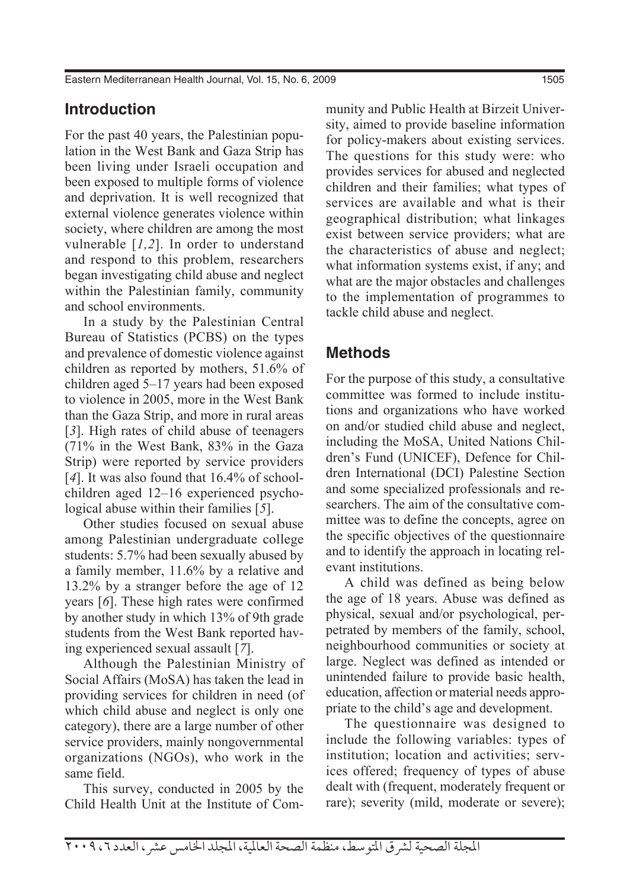# **Introduction**

For the past 40 years, the Palestinian population in the West Bank and Gaza Strip has been living under Israeli occupation and been exposed to multiple forms of violence and deprivation. It is well recognized that external violence generates violence within society, where children are among the most vulnerable [*1,2*]. In order to understand and respond to this problem, researchers began investigating child abuse and neglect within the Palestinian family, community and school environments.

In a study by the Palestinian Central Bureau of Statistics (PCBS) on the types and prevalence of domestic violence against children as reported by mothers, 51.6% of children aged 5–17 years had been exposed to violence in 2005, more in the West Bank than the Gaza Strip, and more in rural areas [*3*]. High rates of child abuse of teenagers (71% in the West Bank, 83% in the Gaza Strip) were reported by service providers [4]. It was also found that 16.4% of schoolchildren aged 12–16 experienced psychological abuse within their families [*5*].

Other studies focused on sexual abuse among Palestinian undergraduate college students: 5.7% had been sexually abused by a family member, 11.6% by a relative and 13.2% by a stranger before the age of 12 years [*6*]. These high rates were confirmed by another study in which 13% of 9th grade students from the West Bank reported having experienced sexual assault [*7*].

Although the Palestinian Ministry of Social Affairs (MoSA) has taken the lead in providing services for children in need (of which child abuse and neglect is only one category), there are a large number of other service providers, mainly nongovernmental organizations (NGOs), who work in the same field.

This survey, conducted in 2005 by the Child Health Unit at the Institute of Community and Public Health at Birzeit University, aimed to provide baseline information for policy-makers about existing services. The questions for this study were: who provides services for abused and neglected children and their families; what types of services are available and what is their geographical distribution; what linkages exist between service providers; what are the characteristics of abuse and neglect; what information systems exist, if any; and what are the major obstacles and challenges to the implementation of programmes to tackle child abuse and neglect.

# **Methods**

For the purpose of this study, a consultative committee was formed to include institutions and organizations who have worked on and/or studied child abuse and neglect, including the MoSA, United Nations Children's Fund (UNICEF), Defence for Children International (DCI) Palestine Section and some specialized professionals and researchers. The aim of the consultative committee was to define the concepts, agree on the specific objectives of the questionnaire and to identify the approach in locating relevant institutions.

A child was defined as being below the age of 18 years. Abuse was defined as physical, sexual and/or psychological, perpetrated by members of the family, school, neighbourhood communities or society at large. Neglect was defined as intended or unintended failure to provide basic health, education, affection or material needs appropriate to the child's age and development.

The questionnaire was designed to include the following variables: types of institution; location and activities; services offered; frequency of types of abuse dealt with (frequent, moderately frequent or rare); severity (mild, moderate or severe);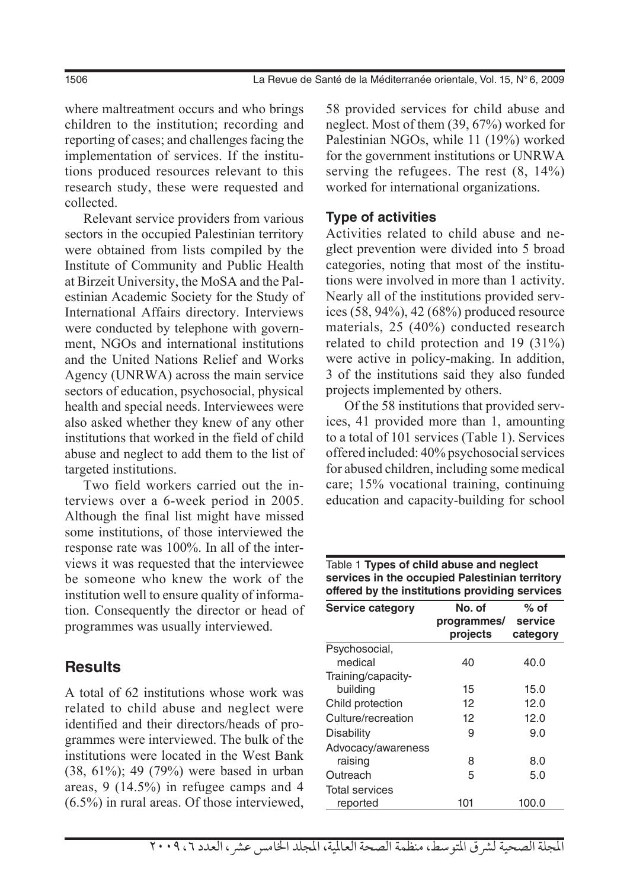1506 La Revue de Santé de la Méditerranée orientale, Vol. 15, N° 6, 2009

where maltreatment occurs and who brings children to the institution; recording and reporting of cases; and challenges facing the implementation of services. If the institutions produced resources relevant to this research study, these were requested and collected.

Relevant service providers from various sectors in the occupied Palestinian territory were obtained from lists compiled by the Institute of Community and Public Health at Birzeit University, the MoSA and the Palestinian Academic Society for the Study of International Affairs directory. Interviews were conducted by telephone with government, NGOs and international institutions and the United Nations Relief and Works Agency (UNRWA) across the main service sectors of education, psychosocial, physical health and special needs. Interviewees were also asked whether they knew of any other institutions that worked in the field of child abuse and neglect to add them to the list of targeted institutions.

Two field workers carried out the interviews over a 6-week period in 2005. Although the final list might have missed some institutions, of those interviewed the response rate was 100%. In all of the interviews it was requested that the interviewee be someone who knew the work of the institution well to ensure quality of information. Consequently the director or head of programmes was usually interviewed.

## **Results**

A total of 62 institutions whose work was related to child abuse and neglect were identified and their directors/heads of programmes were interviewed. The bulk of the institutions were located in the West Bank (38, 61%); 49 (79%) were based in urban areas, 9 (14.5%) in refugee camps and 4 (6.5%) in rural areas. Of those interviewed, 58 provided services for child abuse and neglect. Most of them (39, 67%) worked for Palestinian NGOs, while 11 (19%) worked for the government institutions or UNRWA serving the refugees. The rest (8, 14%) worked for international organizations.

#### **Type of activities**

Activities related to child abuse and neglect prevention were divided into 5 broad categories, noting that most of the institutions were involved in more than 1 activity. Nearly all of the institutions provided services (58, 94%), 42 (68%) produced resource materials, 25 (40%) conducted research related to child protection and 19 (31%) were active in policy-making. In addition, 3 of the institutions said they also funded projects implemented by others.

Of the 58 institutions that provided services, 41 provided more than 1, amounting to a total of 101 services (Table 1). Services offered included: 40% psychosocial services for abused children, including some medical care; 15% vocational training, continuing education and capacity-building for school

| Table 1 Types of child abuse and neglect<br>services in the occupied Palestinian territory<br>offered by the institutions providing services |                                           |                  |  |
|----------------------------------------------------------------------------------------------------------------------------------------------|-------------------------------------------|------------------|--|
| Service category                                                                                                                             | No. of<br>programmes/ service<br>projects | % of<br>category |  |
| Psychosocial,<br>medical                                                                                                                     | 40                                        | 40.0             |  |
| Training/capacity-<br>building                                                                                                               | 15<br>12                                  | 15.0<br>12.0     |  |
| Child protection<br>Culture/recreation                                                                                                       | 12                                        | 12.0             |  |
| Disability<br>Advocacy/awareness                                                                                                             | 9                                         | 9.0              |  |
| raising<br>Outreach                                                                                                                          | 8<br>5                                    | 8.0<br>5.0       |  |
| <b>Total services</b><br>reported                                                                                                            | 101                                       | 100.0            |  |

# المجلة الصحية لشرق المتوسط، منظمة الصحة العالمية، المجلد الخامس عشر ، العدد ٦، ٢٠٠٩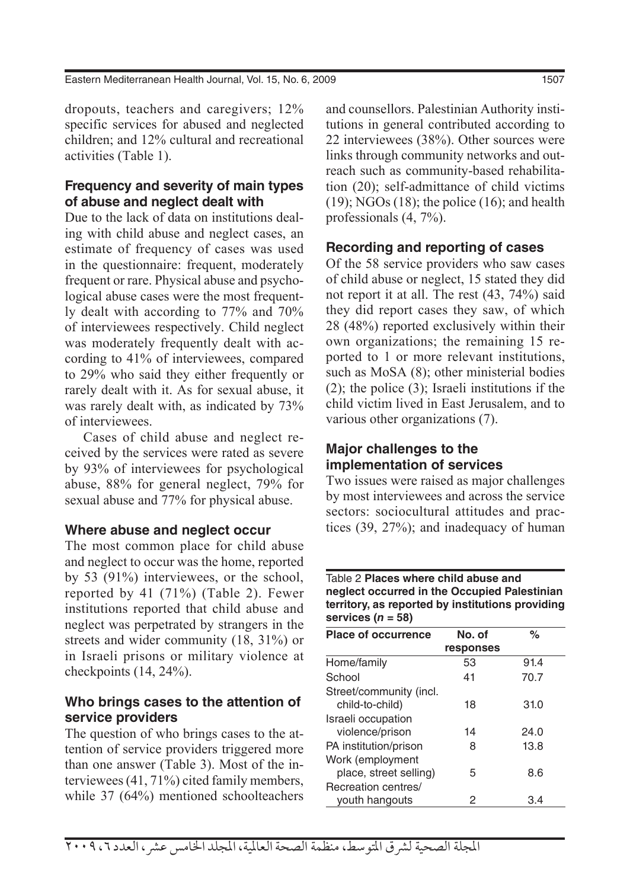Eastern Mediterranean Health Journal, Vol. 15, No. 6, 2009 1507 1507

dropouts, teachers and caregivers; 12% specific services for abused and neglected children; and 12% cultural and recreational activities (Table 1).

#### **Frequency and severity of main types of abuse and neglect dealt with**

Due to the lack of data on institutions dealing with child abuse and neglect cases, an estimate of frequency of cases was used in the questionnaire: frequent, moderately frequent or rare. Physical abuse and psychological abuse cases were the most frequently dealt with according to 77% and 70% of interviewees respectively. Child neglect was moderately frequently dealt with according to 41% of interviewees, compared to 29% who said they either frequently or rarely dealt with it. As for sexual abuse, it was rarely dealt with, as indicated by 73% of interviewees.

Cases of child abuse and neglect received by the services were rated as severe by 93% of interviewees for psychological abuse, 88% for general neglect, 79% for sexual abuse and 77% for physical abuse.

#### **Where abuse and neglect occur**

The most common place for child abuse and neglect to occur was the home, reported by 53 (91%) interviewees, or the school, reported by 41 (71%) (Table 2). Fewer institutions reported that child abuse and neglect was perpetrated by strangers in the streets and wider community (18, 31%) or in Israeli prisons or military violence at checkpoints (14, 24%).

#### **Who brings cases to the attention of service providers**

The question of who brings cases to the attention of service providers triggered more than one answer (Table 3). Most of the interviewees (41, 71%) cited family members, while 37 (64%) mentioned schoolteachers and counsellors. Palestinian Authority institutions in general contributed according to 22 interviewees (38%). Other sources were links through community networks and outreach such as community-based rehabilitation (20); self-admittance of child victims  $(19)$ ; NGOs  $(18)$ ; the police  $(16)$ ; and health professionals  $(4, 7\%)$ .

#### **Recording and reporting of cases**

Of the 58 service providers who saw cases of child abuse or neglect, 15 stated they did not report it at all. The rest (43, 74%) said they did report cases they saw, of which 28 (48%) reported exclusively within their own organizations; the remaining 15 reported to 1 or more relevant institutions, such as MoSA (8); other ministerial bodies (2); the police (3); Israeli institutions if the child victim lived in East Jerusalem, and to various other organizations (7).

#### **Major challenges to the implementation of services**

Two issues were raised as major challenges by most interviewees and across the service sectors: sociocultural attitudes and practices (39, 27%); and inadequacy of human

#### Table 2 **Places where child abuse and neglect occurred in the Occupied Palestinian territory, as reported by institutions providing services (***n* **= 58)**

| <b>Place of occurrence</b> | No. of    | $\%$ |
|----------------------------|-----------|------|
|                            | responses |      |
| Home/family                | 53        | 91.4 |
| School                     | 41        | 70.7 |
| Street/community (incl.    |           |      |
| child-to-child)            | 18        | 31.0 |
| Israeli occupation         |           |      |
| violence/prison            | 14        | 24.0 |
| PA institution/prison      | 8         | 13.8 |
| Work (employment           |           |      |
| place, street selling)     | 5         | 8.6  |
| Recreation centres/        |           |      |
| youth hangouts             | 2         | 3.4  |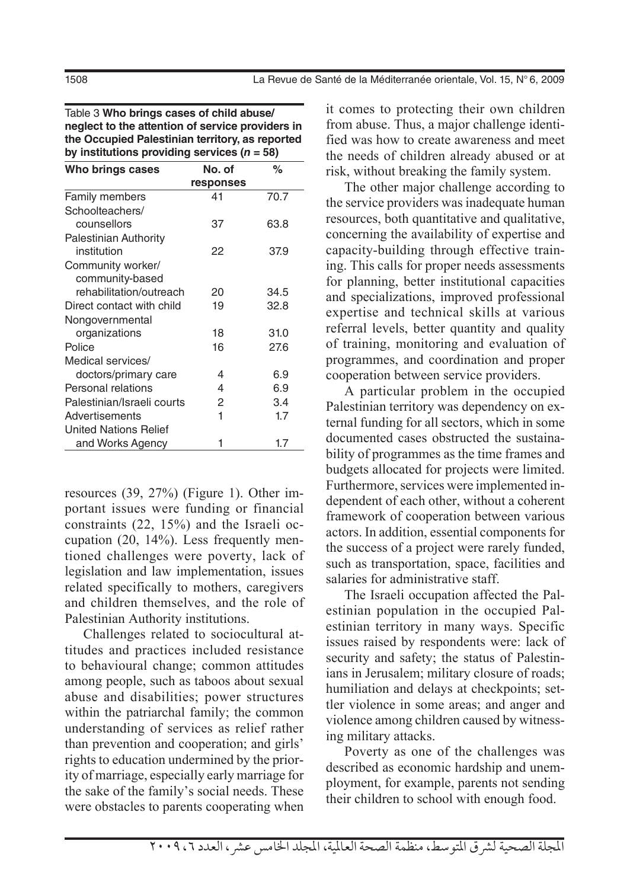Table 3 **Who brings cases of child abuse/ neglect to the attention of service providers in the Occupied Palestinian territory, as reported**  by institutions providing services  $(n = 58)$ 

| Who brings cases             | No. of    | %    |
|------------------------------|-----------|------|
|                              | responses |      |
| <b>Family members</b>        | 41        | 70.7 |
| Schoolteachers/              |           |      |
| counsellors                  | 37        | 63.8 |
| <b>Palestinian Authority</b> |           |      |
| institution                  | 22        | 37.9 |
| Community worker/            |           |      |
| community-based              |           |      |
| rehabilitation/outreach      | 20        | 34.5 |
| Direct contact with child    | 19        | 32.8 |
| Nongovernmental              |           |      |
| organizations                | 18        | 31.0 |
| Police                       | 16        | 27.6 |
| Medical services/            |           |      |
| doctors/primary care         | 4         | 6.9  |
| Personal relations           | 4         | 6.9  |
| Palestinian/Israeli courts   | 2         | 3.4  |
| Advertisements               | 1         | 1.7  |
| United Nations Relief        |           |      |
| and Works Agency             |           | 1.7  |

resources (39, 27%) (Figure 1). Other important issues were funding or financial constraints (22, 15%) and the Israeli occupation (20, 14%). Less frequently mentioned challenges were poverty, lack of legislation and law implementation, issues related specifically to mothers, caregivers and children themselves, and the role of Palestinian Authority institutions.

Challenges related to sociocultural attitudes and practices included resistance to behavioural change; common attitudes among people, such as taboos about sexual abuse and disabilities; power structures within the patriarchal family; the common understanding of services as relief rather than prevention and cooperation; and girls' rights to education undermined by the priority of marriage, especially early marriage for the sake of the family's social needs. These were obstacles to parents cooperating when it comes to protecting their own children from abuse. Thus, a major challenge identified was how to create awareness and meet the needs of children already abused or at risk, without breaking the family system.

The other major challenge according to the service providers was inadequate human resources, both quantitative and qualitative, concerning the availability of expertise and capacity-building through effective training. This calls for proper needs assessments for planning, better institutional capacities and specializations, improved professional expertise and technical skills at various referral levels, better quantity and quality of training, monitoring and evaluation of programmes, and coordination and proper cooperation between service providers.

A particular problem in the occupied Palestinian territory was dependency on external funding for all sectors, which in some documented cases obstructed the sustainability of programmes as the time frames and budgets allocated for projects were limited. Furthermore, services were implemented independent of each other, without a coherent framework of cooperation between various actors. In addition, essential components for the success of a project were rarely funded, such as transportation, space, facilities and salaries for administrative staff.

The Israeli occupation affected the Palestinian population in the occupied Palestinian territory in many ways. Specific issues raised by respondents were: lack of security and safety; the status of Palestinians in Jerusalem; military closure of roads; humiliation and delays at checkpoints; settler violence in some areas; and anger and violence among children caused by witnessing military attacks.

Poverty as one of the challenges was described as economic hardship and unemployment, for example, parents not sending their children to school with enough food.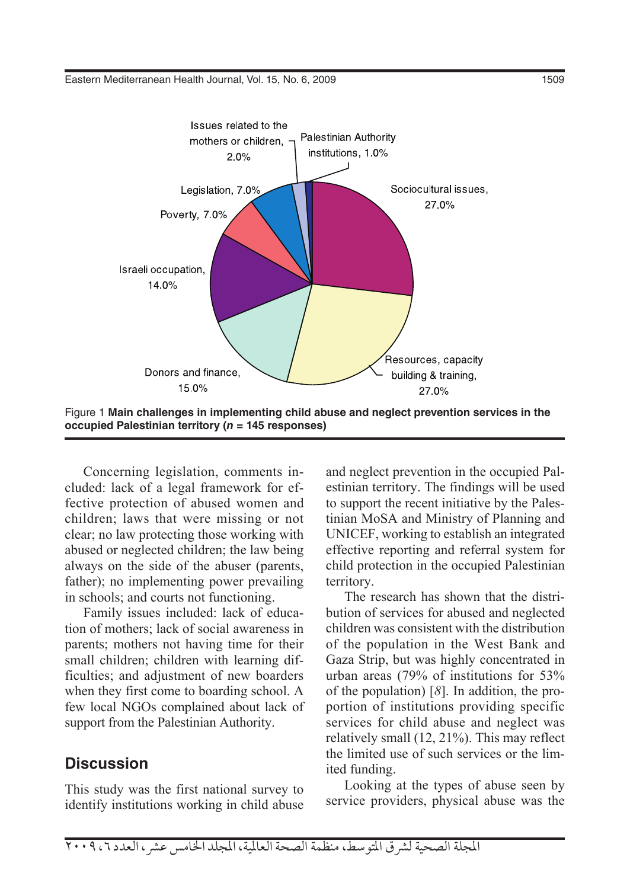

Figure 1 **Main challenges in implementing child abuse and neglect prevention services in the occupied Palestinian territory (***n* **= 145 responses)**

Concerning legislation, comments included: lack of a legal framework for effective protection of abused women and children; laws that were missing or not clear; no law protecting those working with abused or neglected children; the law being always on the side of the abuser (parents, father); no implementing power prevailing in schools; and courts not functioning.

Family issues included: lack of education of mothers; lack of social awareness in parents; mothers not having time for their small children; children with learning difficulties; and adjustment of new boarders when they first come to boarding school. A few local NGOs complained about lack of support from the Palestinian Authority.

#### **Discussion**

This study was the first national survey to identify institutions working in child abuse and neglect prevention in the occupied Palestinian territory. The findings will be used to support the recent initiative by the Palestinian MoSA and Ministry of Planning and UNICEF, working to establish an integrated effective reporting and referral system for child protection in the occupied Palestinian territory.

The research has shown that the distribution of services for abused and neglected children was consistent with the distribution of the population in the West Bank and Gaza Strip, but was highly concentrated in urban areas (79% of institutions for 53% of the population) [*8*]. In addition, the proportion of institutions providing specific services for child abuse and neglect was relatively small (12, 21%). This may reflect the limited use of such services or the limited funding.

Looking at the types of abuse seen by service providers, physical abuse was the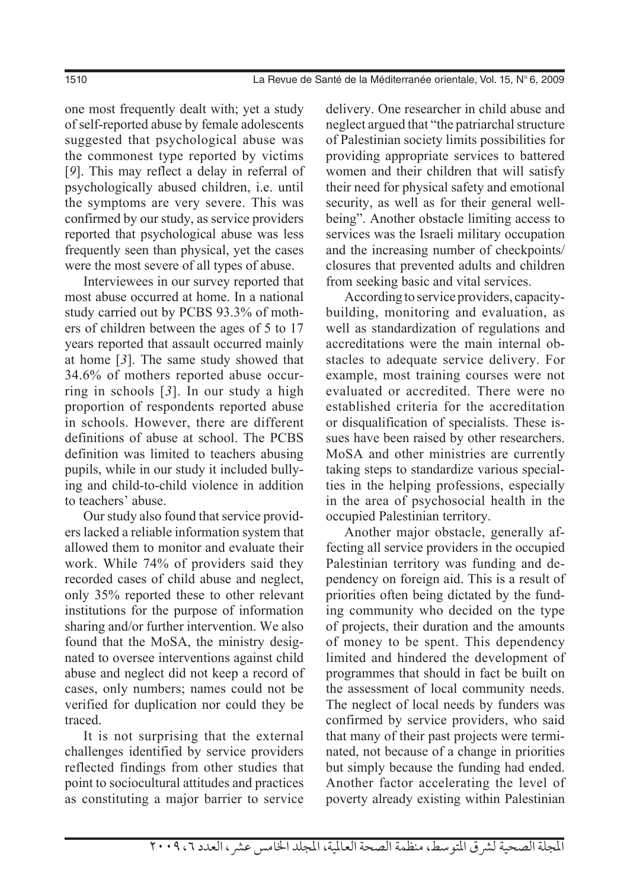one most frequently dealt with; yet a study of self-reported abuse by female adolescents suggested that psychological abuse was the commonest type reported by victims [*9*]. This may reflect a delay in referral of psychologically abused children, i.e. until the symptoms are very severe. This was confirmed by our study, as service providers reported that psychological abuse was less frequently seen than physical, yet the cases were the most severe of all types of abuse.

Interviewees in our survey reported that most abuse occurred at home. In a national study carried out by PCBS 93.3% of mothers of children between the ages of 5 to 17 years reported that assault occurred mainly at home [*3*]. The same study showed that 34.6% of mothers reported abuse occurring in schools [*3*]. In our study a high proportion of respondents reported abuse in schools. However, there are different definitions of abuse at school. The PCBS definition was limited to teachers abusing pupils, while in our study it included bullying and child-to-child violence in addition to teachers' abuse.

Our study also found that service providers lacked a reliable information system that allowed them to monitor and evaluate their work. While 74% of providers said they recorded cases of child abuse and neglect, only 35% reported these to other relevant institutions for the purpose of information sharing and/or further intervention. We also found that the MoSA, the ministry designated to oversee interventions against child abuse and neglect did not keep a record of cases, only numbers; names could not be verified for duplication nor could they be traced.

It is not surprising that the external challenges identified by service providers reflected findings from other studies that point to sociocultural attitudes and practices as constituting a major barrier to service delivery. One researcher in child abuse and neglect argued that "the patriarchal structure of Palestinian society limits possibilities for providing appropriate services to battered women and their children that will satisfy their need for physical safety and emotional security, as well as for their general wellbeing". Another obstacle limiting access to services was the Israeli military occupation and the increasing number of checkpoints/ closures that prevented adults and children from seeking basic and vital services.

According to service providers, capacitybuilding, monitoring and evaluation, as well as standardization of regulations and accreditations were the main internal obstacles to adequate service delivery. For example, most training courses were not evaluated or accredited. There were no established criteria for the accreditation or disqualification of specialists. These issues have been raised by other researchers. MoSA and other ministries are currently taking steps to standardize various specialties in the helping professions, especially in the area of psychosocial health in the occupied Palestinian territory.

Another major obstacle, generally affecting all service providers in the occupied Palestinian territory was funding and dependency on foreign aid. This is a result of priorities often being dictated by the funding community who decided on the type of projects, their duration and the amounts of money to be spent. This dependency limited and hindered the development of programmes that should in fact be built on the assessment of local community needs. The neglect of local needs by funders was confirmed by service providers, who said that many of their past projects were terminated, not because of a change in priorities but simply because the funding had ended. Another factor accelerating the level of poverty already existing within Palestinian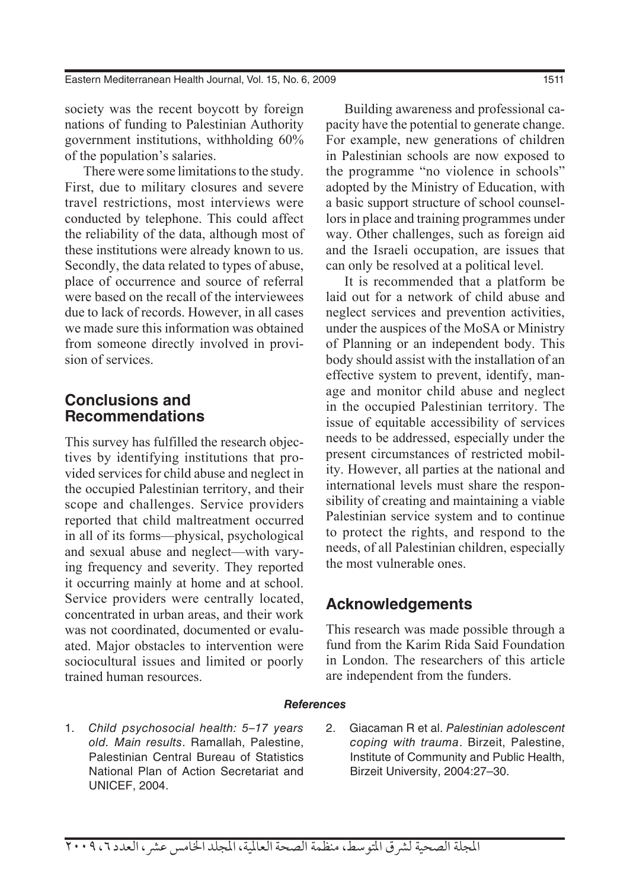Eastern Mediterranean Health Journal, Vol. 15, No. 6, 2009 1511

society was the recent boycott by foreign nations of funding to Palestinian Authority government institutions, withholding 60% of the population's salaries.

There were some limitations to the study. First, due to military closures and severe travel restrictions, most interviews were conducted by telephone. This could affect the reliability of the data, although most of these institutions were already known to us. Secondly, the data related to types of abuse, place of occurrence and source of referral were based on the recall of the interviewees due to lack of records. However, in all cases we made sure this information was obtained from someone directly involved in provision of services.

### **Conclusions and Recommendations**

This survey has fulfilled the research objectives by identifying institutions that provided services for child abuse and neglect in the occupied Palestinian territory, and their scope and challenges. Service providers reported that child maltreatment occurred in all of its forms—physical, psychological and sexual abuse and neglect—with varying frequency and severity. They reported it occurring mainly at home and at school. Service providers were centrally located, concentrated in urban areas, and their work was not coordinated, documented or evaluated. Major obstacles to intervention were sociocultural issues and limited or poorly trained human resources.

Building awareness and professional capacity have the potential to generate change. For example, new generations of children in Palestinian schools are now exposed to the programme "no violence in schools" adopted by the Ministry of Education, with a basic support structure of school counsellors in place and training programmes under way. Other challenges, such as foreign aid and the Israeli occupation, are issues that can only be resolved at a political level.

It is recommended that a platform be laid out for a network of child abuse and neglect services and prevention activities, under the auspices of the MoSA or Ministry of Planning or an independent body. This body should assist with the installation of an effective system to prevent, identify, manage and monitor child abuse and neglect in the occupied Palestinian territory. The issue of equitable accessibility of services needs to be addressed, especially under the present circumstances of restricted mobility. However, all parties at the national and international levels must share the responsibility of creating and maintaining a viable Palestinian service system and to continue to protect the rights, and respond to the needs, of all Palestinian children, especially the most vulnerable ones.

#### **Acknowledgements**

This research was made possible through a fund from the Karim Rida Said Foundation in London. The researchers of this article are independent from the funders.

#### *References*

- 1. *Child psychosocial health: 5–17 years old. Main results*. Ramallah, Palestine, Palestinian Central Bureau of Statistics National Plan of Action Secretariat and UNICEF, 2004.
- 2. Giacaman R et al. *Palestinian adolescent coping with trauma*. Birzeit, Palestine, Institute of Community and Public Health, Birzeit University, 2004:27–30.